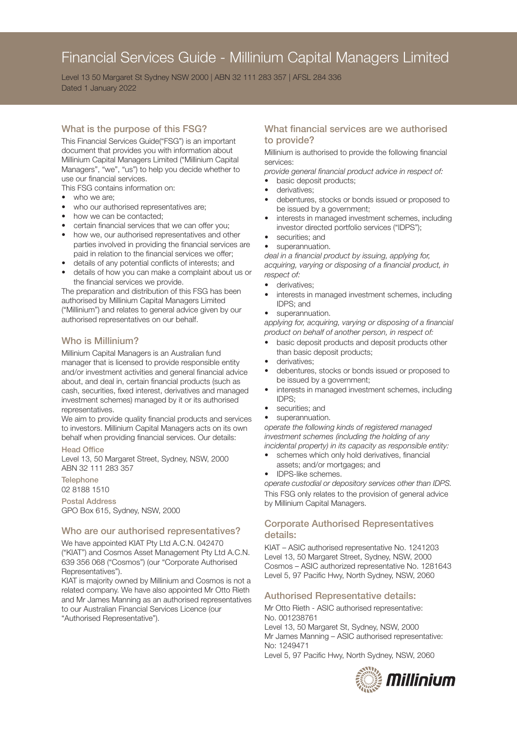# Financial Services Guide - Millinium Capital Managers Limited

Level 13 50 Margaret St Sydney NSW 2000 | ABN 32 111 283 357 | AFSL 284 336 Dated 1 January 2022

## What is the purpose of this FSG?

This Financial Services Guide("FSG") is an important document that provides you with information about Millinium Capital Managers Limited ("Millinium Capital Managers", "we", "us") to help you decide whether to use our financial services.

This FSG contains information on:

- who we are:
- who our authorised representatives are;
- how we can be contacted;
- certain financial services that we can offer you;
- how we, our authorised representatives and other parties involved in providing the financial services are paid in relation to the financial services we offer;
- details of any potential conflicts of interests; and
- details of how you can make a complaint about us or the financial services we provide.

The preparation and distribution of this FSG has been authorised by Millinium Capital Managers Limited ("Millinium") and relates to general advice given by our authorised representatives on our behalf.

#### Who is Millinium?

Millinium Capital Managers is an Australian fund manager that is licensed to provide responsible entity and/or investment activities and general financial advice about, and deal in, certain financial products (such as cash, securities, fixed interest, derivatives and managed investment schemes) managed by it or its authorised representatives.

We aim to provide quality financial products and services to investors. Millinium Capital Managers acts on its own behalf when providing financial services. Our details:

#### Head Office

Level 13, 50 Margaret Street, Sydney, NSW, 2000 ABN 32 111 283 357

**Telephone** 

## 02 8188 1510

Postal Address GPO Box 615, Sydney, NSW, 2000

#### Who are our authorised representatives?

We have appointed KIAT Pty Ltd A.C.N. 042470 ("KIAT") and Cosmos Asset Management Pty Ltd A.C.N. 639 356 068 ("Cosmos") (our "Corporate Authorised Representatives").

KIAT is majority owned by Millinium and Cosmos is not a related company. We have also appointed Mr Otto Rieth and Mr James Manning as an authorised representatives to our Australian Financial Services Licence (our "Authorised Representative").

## What financial services are we authorised to provide?

Millinium is authorised to provide the following financial services:

*provide general financial product advice in respect of:*

- basic deposit products;
- derivatives:
- debentures, stocks or bonds issued or proposed to be issued by a government;
- interests in managed investment schemes, including investor directed portfolio services ("IDPS");
- securities; and
- superannuation.

*deal in a financial product by issuing, applying for, acquiring, varying or disposing of a financial product, in respect of:*

- derivatives:
- interests in managed investment schemes, including IDPS; and
- superannuation.

*applying for, acquiring, varying or disposing of a financial product on behalf of another person, in respect of:*

- basic deposit products and deposit products other than basic deposit products;
- derivatives;
- debentures, stocks or bonds issued or proposed to be issued by a government;
- interests in managed investment schemes, including IDPS;
- securities; and
- superannuation.

*operate the following kinds of registered managed investment schemes (including the holding of any incidental property) in its capacity as responsible entity:*

- schemes which only hold derivatives, financial assets; and/or mortgages; and
- IDPS-like schemes.

*operate custodial or depository services other than IDPS.* This FSG only relates to the provision of general advice by Millinium Capital Managers.

## Corporate Authorised Representatives details:

KIAT – ASIC authorised representative No. 1241203 Level 13, 50 Margaret Street, Sydney, NSW, 2000 Cosmos – ASIC authorized representative No. 1281643 Level 5, 97 Pacific Hwy, North Sydney, NSW, 2060

#### Authorised Representative details:

Mr Otto Rieth - ASIC authorised representative: No. 001238761

Level 13, 50 Margaret St, Sydney, NSW, 2000 Mr James Manning – ASIC authorised representative: No: 1249471 Level 5, 97 Pacific Hwy, North Sydney, NSW, 2060

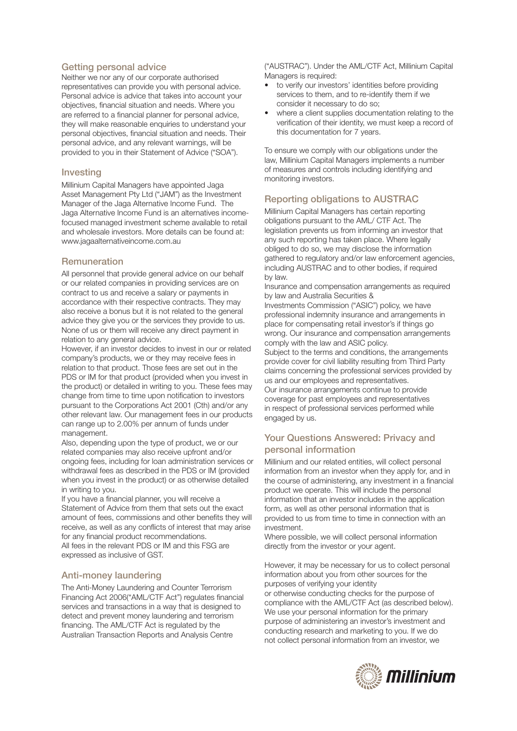#### Getting personal advice

Neither we nor any of our corporate authorised representatives can provide you with personal advice. Personal advice is advice that takes into account your objectives, financial situation and needs. Where you are referred to a financial planner for personal advice, they will make reasonable enquiries to understand your personal objectives, financial situation and needs. Their personal advice, and any relevant warnings, will be provided to you in their Statement of Advice ("SOA").

#### Investing

Millinium Capital Managers have appointed Jaga Asset Management Pty Ltd ("JAM") as the Investment Manager of the Jaga Alternative Income Fund. The Jaga Alternative Income Fund is an alternatives incomefocused managed investment scheme available to retail and wholesale investors. More details can be found at: www.jagaalternativeincome.com.au

#### **Remuneration**

All personnel that provide general advice on our behalf or our related companies in providing services are on contract to us and receive a salary or payments in accordance with their respective contracts. They may also receive a bonus but it is not related to the general advice they give you or the services they provide to us. None of us or them will receive any direct payment in relation to any general advice.

However, if an investor decides to invest in our or related company's products, we or they may receive fees in relation to that product. Those fees are set out in the PDS or IM for that product (provided when you invest in the product) or detailed in writing to you. These fees may change from time to time upon notification to investors pursuant to the Corporations Act 2001 (Cth) and/or any other relevant law. Our management fees in our products can range up to 2.00% per annum of funds under management.

Also, depending upon the type of product, we or our related companies may also receive upfront and/or ongoing fees, including for loan administration services or withdrawal fees as described in the PDS or IM (provided when you invest in the product) or as otherwise detailed in writing to you.

If you have a financial planner, you will receive a Statement of Advice from them that sets out the exact amount of fees, commissions and other benefits they will receive, as well as any conflicts of interest that may arise for any financial product recommendations.

All fees in the relevant PDS or IM and this FSG are expressed as inclusive of GST.

## Anti-money laundering

The Anti-Money Laundering and Counter Terrorism Financing Act 2006("AML/CTF Act") regulates financial services and transactions in a way that is designed to detect and prevent money laundering and terrorism financing. The AML/CTF Act is regulated by the Australian Transaction Reports and Analysis Centre

("AUSTRAC"). Under the AML/CTF Act, Millinium Capital Managers is required:

- to verify our investors' identities before providing services to them, and to re-identify them if we consider it necessary to do so;
- where a client supplies documentation relating to the verification of their identity, we must keep a record of this documentation for 7 years.

To ensure we comply with our obligations under the law, Millinium Capital Managers implements a number of measures and controls including identifying and monitoring investors.

## Reporting obligations to AUSTRAC

Millinium Capital Managers has certain reporting obligations pursuant to the AML/ CTF Act. The legislation prevents us from informing an investor that any such reporting has taken place. Where legally obliged to do so, we may disclose the information gathered to regulatory and/or law enforcement agencies, including AUSTRAC and to other bodies, if required by law.

Insurance and compensation arrangements as required by law and Australia Securities &

Investments Commission ("ASIC") policy, we have professional indemnity insurance and arrangements in place for compensating retail investor's if things go wrong. Our insurance and compensation arrangements comply with the law and ASIC policy.

Subject to the terms and conditions, the arrangements provide cover for civil liability resulting from Third Party claims concerning the professional services provided by us and our employees and representatives. Our insurance arrangements continue to provide coverage for past employees and representatives in respect of professional services performed while

## Your Questions Answered: Privacy and personal information

engaged by us.

Millinium and our related entities, will collect personal information from an investor when they apply for, and in the course of administering, any investment in a financial product we operate. This will include the personal information that an investor includes in the application form, as well as other personal information that is provided to us from time to time in connection with an investment.

Where possible, we will collect personal information directly from the investor or your agent.

However, it may be necessary for us to collect personal information about you from other sources for the purposes of verifying your identity

or otherwise conducting checks for the purpose of compliance with the AML/CTF Act (as described below). We use your personal information for the primary purpose of administering an investor's investment and conducting research and marketing to you. If we do not collect personal information from an investor, we